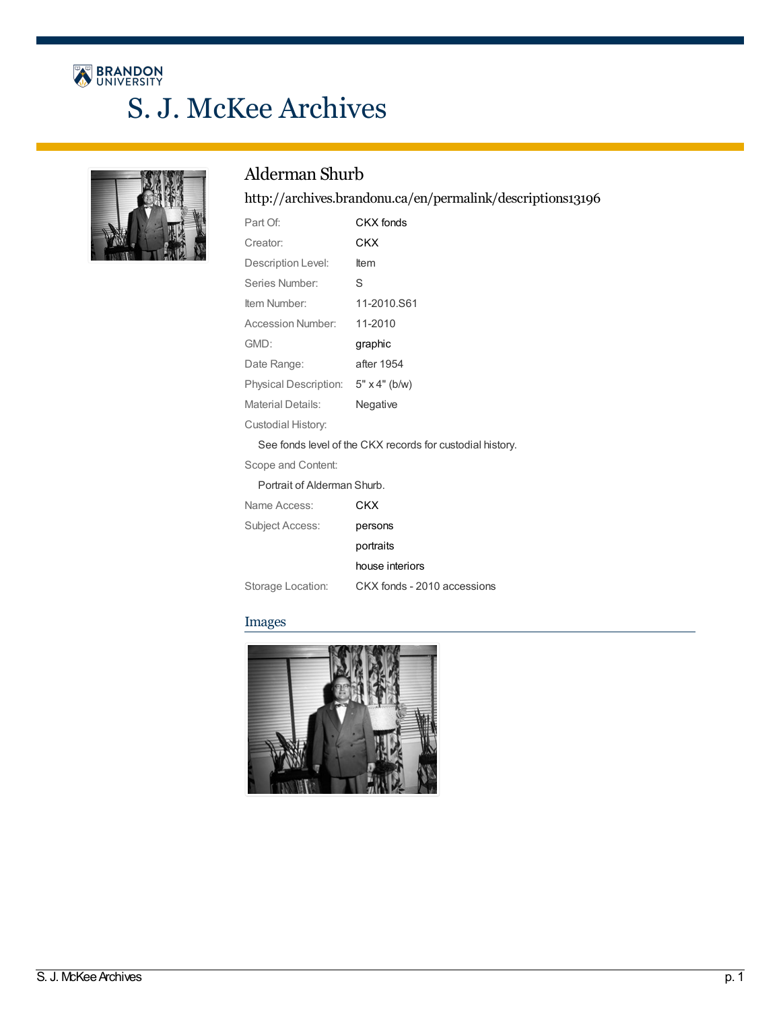# BRANDON S. J. McKee Archives



# Alderman Shurb

<http://archives.brandonu.ca/en/permalink/descriptions13196>

| Part Of:                                                  | CKX fonds   |
|-----------------------------------------------------------|-------------|
| Creator:                                                  | CKX         |
| Description Level:                                        | Item        |
| Series Number:                                            | S           |
| Item Number:                                              | 11-2010.S61 |
| Accession Number:                                         | 11-2010     |
| GMD:                                                      | graphic     |
| Date Range:                                               | after 1954  |
| Physical Description: 5" x 4" (b/w)                       |             |
| Material Details:                                         | Negative    |
| Custodial History:                                        |             |
| See fonds level of the CKX records for custodial history. |             |
| Scope and Content:                                        |             |
| Portrait of Alderman Shurb.                               |             |

| Name Access:      | CKX                         |
|-------------------|-----------------------------|
| Subject Access:   | persons                     |
|                   | portraits                   |
|                   | house interiors             |
| Storage Location: | CKX fonds - 2010 accessions |

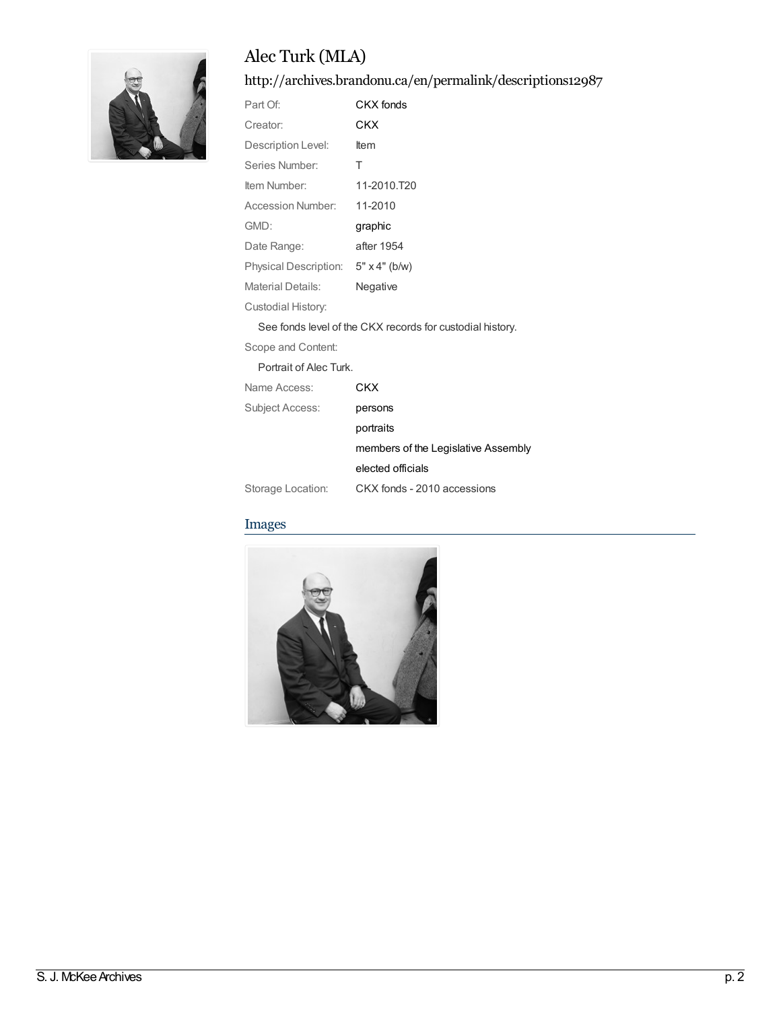# Alec Turk (MLA)

<http://archives.brandonu.ca/en/permalink/descriptions12987>

| Part Of:                     | CKX fonds            |
|------------------------------|----------------------|
| Creator:                     | CKX                  |
| Description Level:           | ltem                 |
| Series Number:               | т                    |
| Item Number:                 | 11-2010.T20          |
| Accession Number:            | 11-2010              |
| GMD:                         | graphic              |
| Date Range:                  | after 1954           |
| <b>Physical Description:</b> | $5" \times 4"$ (b/w) |
| Material Details:            | Negative             |
| Custodial History:           |                      |

See fonds level of the CKX records for custodial history.

Scope and Content:

Portrait of Alec Turk.

| Name Access:           | CKX                                 |
|------------------------|-------------------------------------|
| <b>Subject Access:</b> | persons                             |
|                        | portraits                           |
|                        | members of the Legislative Assembly |
|                        | elected officials                   |
| Storage Location:      | CKX fonds - 2010 accessions         |

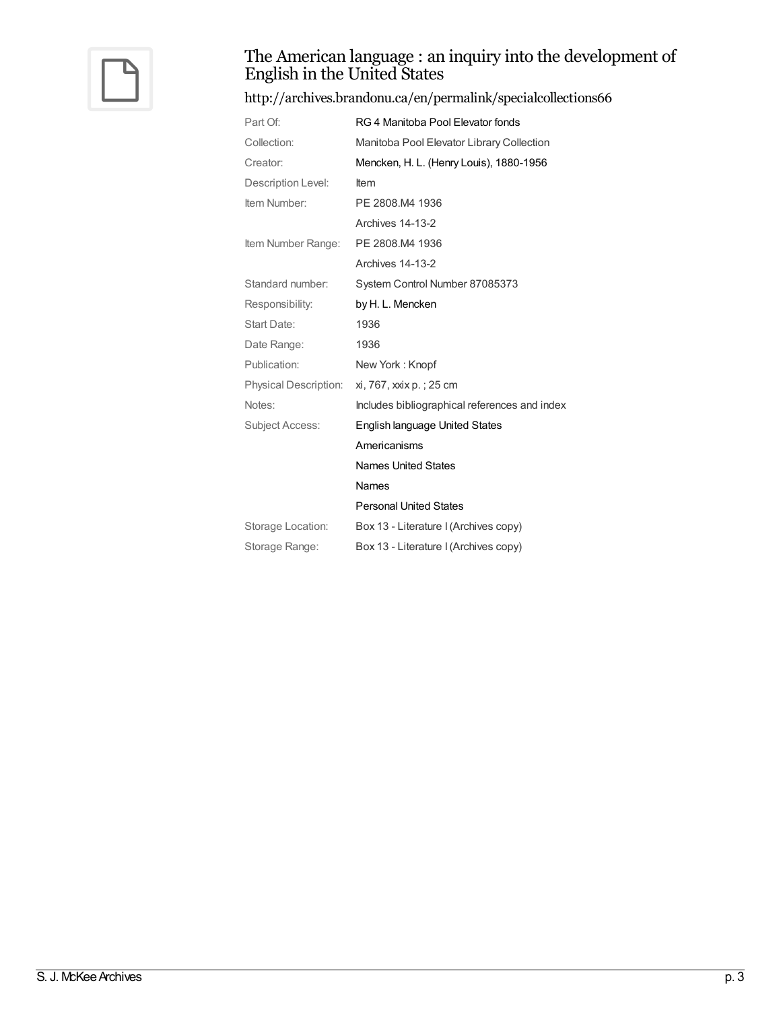

### The American language : an inquiry into the development of English in the United States

### <http://archives.brandonu.ca/en/permalink/specialcollections66>

| Part Of:               | RG 4 Manitoba Pool Elevator fonds             |
|------------------------|-----------------------------------------------|
| Collection:            | Manitoba Pool Elevator Library Collection     |
| Creator:               | Mencken, H. L. (Henry Louis), 1880-1956       |
| Description Level:     | <b>Item</b>                                   |
| Item Number:           | PE 2808.M4 1936                               |
|                        | Archives 14-13-2                              |
| Item Number Range:     | PE 2808.M4 1936                               |
|                        | Archives 14-13-2                              |
| Standard number:       | System Control Number 87085373                |
| Responsibility:        | by H. L. Mencken                              |
| <b>Start Date:</b>     | 1936                                          |
| Date Range:            | 1936                                          |
| Publication:           | New York: Knopf                               |
| Physical Description:  | xi, 767, xxix p.; 25 cm                       |
| Notes:                 | Includes bibliographical references and index |
| <b>Subject Access:</b> | English language United States                |
|                        | Americanisms                                  |
|                        | <b>Names United States</b>                    |
|                        | Names                                         |
|                        | <b>Personal United States</b>                 |
| Storage Location:      | Box 13 - Literature I (Archives copy)         |
| Storage Range:         | Box 13 - Literature I (Archives copy)         |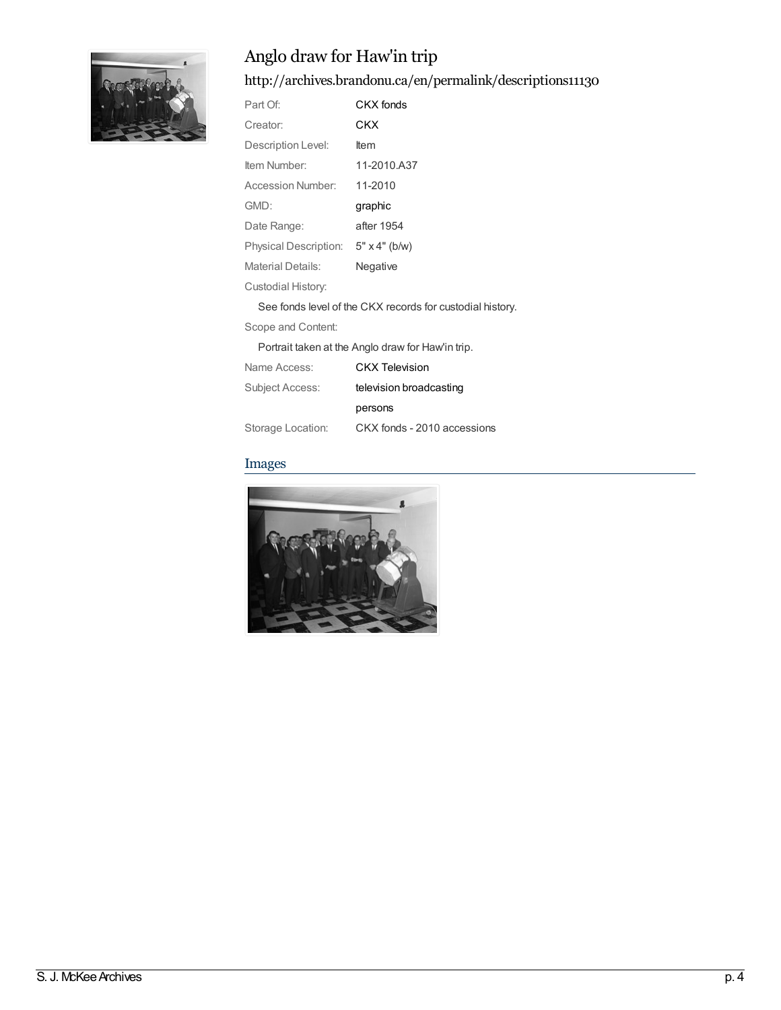

# Anglo draw for Haw'in trip

<http://archives.brandonu.ca/en/permalink/descriptions11130>

| Part Of:                                                  | CKX fonds            |  |
|-----------------------------------------------------------|----------------------|--|
| Creator:                                                  | <b>CKX</b>           |  |
| Description Level:                                        | ltem                 |  |
| Item Number:                                              | 11-2010.A37          |  |
| Accession Number:                                         | 11-2010              |  |
| GMD:                                                      | graphic              |  |
| Date Range:                                               | after 1954           |  |
| Physical Description:                                     | $5" \times 4"$ (b/w) |  |
| <b>Material Details:</b>                                  | Negative             |  |
| Custodial History:                                        |                      |  |
| See fonds level of the CKX records for custodial history. |                      |  |
| Scope and Content:                                        |                      |  |
| Portrait taken at the Anglo draw for Haw'in trip.         |                      |  |
|                                                           |                      |  |

| Name Access:      | <b>CKX Television</b>       |
|-------------------|-----------------------------|
| Subject Access:   | television broadcasting     |
|                   | persons                     |
| Storage Location: | CKX fonds - 2010 accessions |

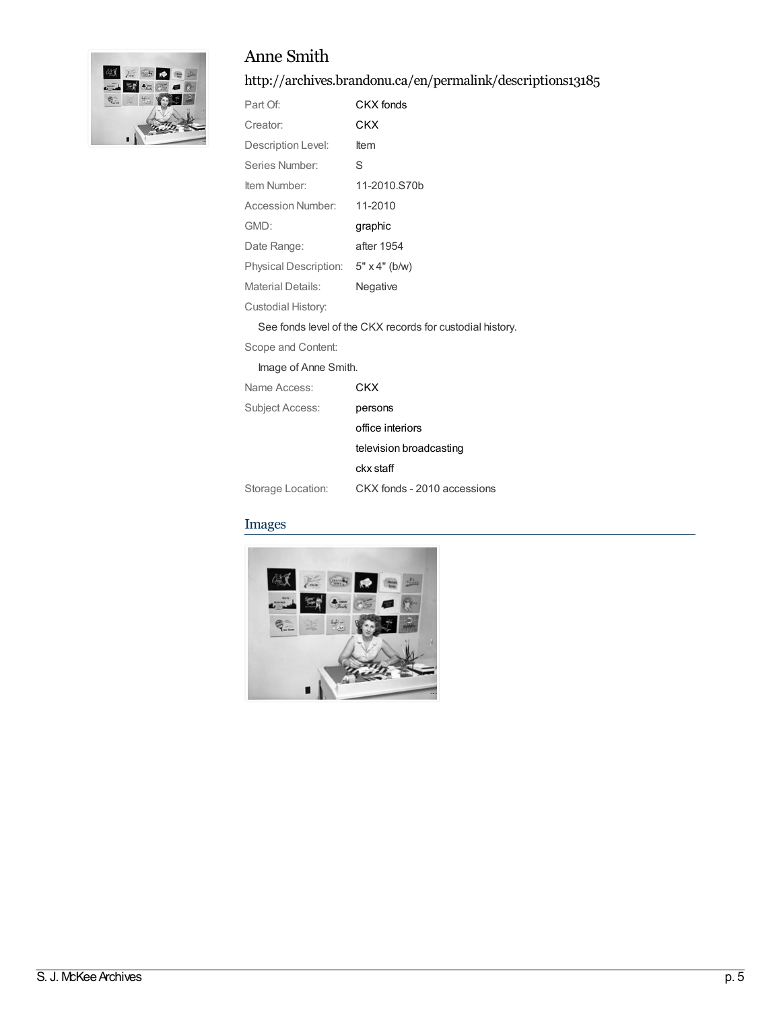## Anne Smith



### <http://archives.brandonu.ca/en/permalink/descriptions13185>

| Part Of:                 | CKX fonds            |
|--------------------------|----------------------|
| Creator:                 | <b>CKX</b>           |
| Description Level:       | ltem                 |
| Series Number:           | S                    |
| Item Number:             | 11-2010.S70b         |
| <b>Accession Number:</b> | 11-2010              |
| GMD:                     | graphic              |
| Date Range:              | after 1954           |
| Physical Description:    | $5" \times 4"$ (b/w) |
| <b>Material Details:</b> | Negative             |
| Custodial History:       |                      |
|                          |                      |

See fonds level of the CKX records for custodial history.

Scope and Content:

Image of Anne Smith.

| Name Access:      | CKX                         |
|-------------------|-----------------------------|
| Subject Access:   | persons                     |
|                   | office interiors            |
|                   | television broadcasting     |
|                   | ckx staff                   |
| Storage Location: | CKX fonds - 2010 accessions |

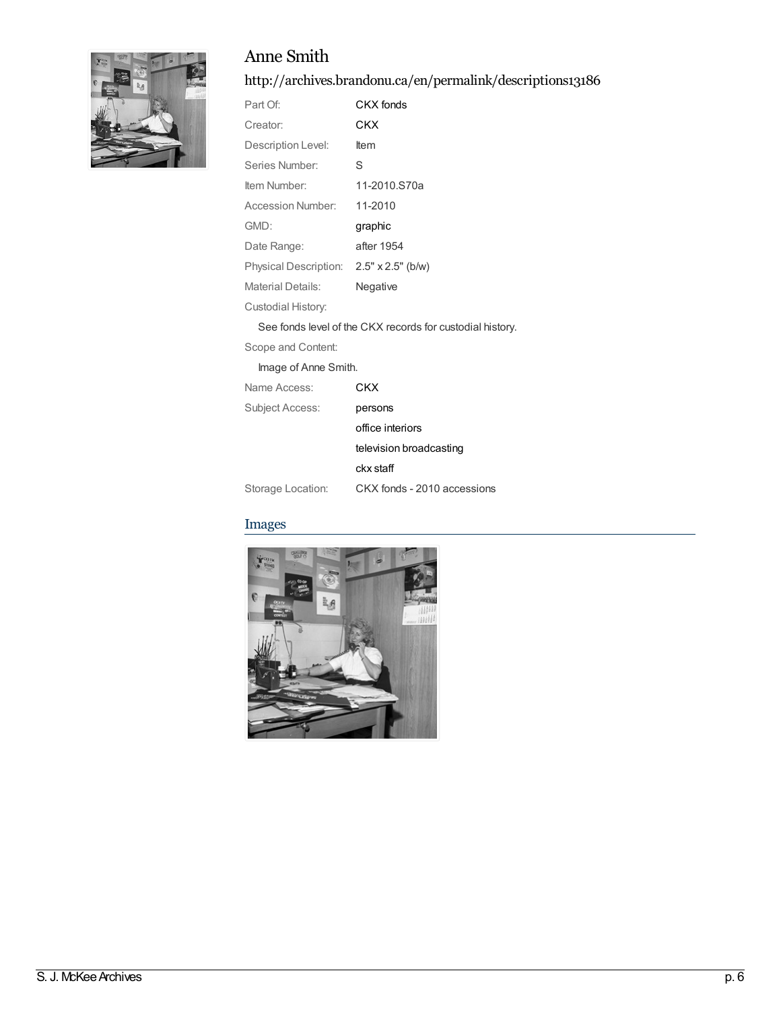## Anne Smith



### <http://archives.brandonu.ca/en/permalink/descriptions13186>

| Part Of:                 | CKX fonds                |
|--------------------------|--------------------------|
| Creator:                 | CKX                      |
| Description Level:       | ltem                     |
| Series Number:           | S                        |
| Item Number:             | 11-2010.S70a             |
| Accession Number:        | 11-2010                  |
| GMD:                     | graphic                  |
| Date Range:              | after 1954               |
| Physical Description:    | $2.5" \times 2.5"$ (b/w) |
| <b>Material Details:</b> | Negative                 |
| Custodial History:       |                          |

See fonds level of the CKX records for custodial history.

Scope and Content:

Image of Anne Smith.

| Name Access:      | CKX                         |
|-------------------|-----------------------------|
| Subject Access:   | persons                     |
|                   | office interiors            |
|                   | television broadcasting     |
|                   | ckx staff                   |
| Storage Location: | CKX fonds - 2010 accessions |

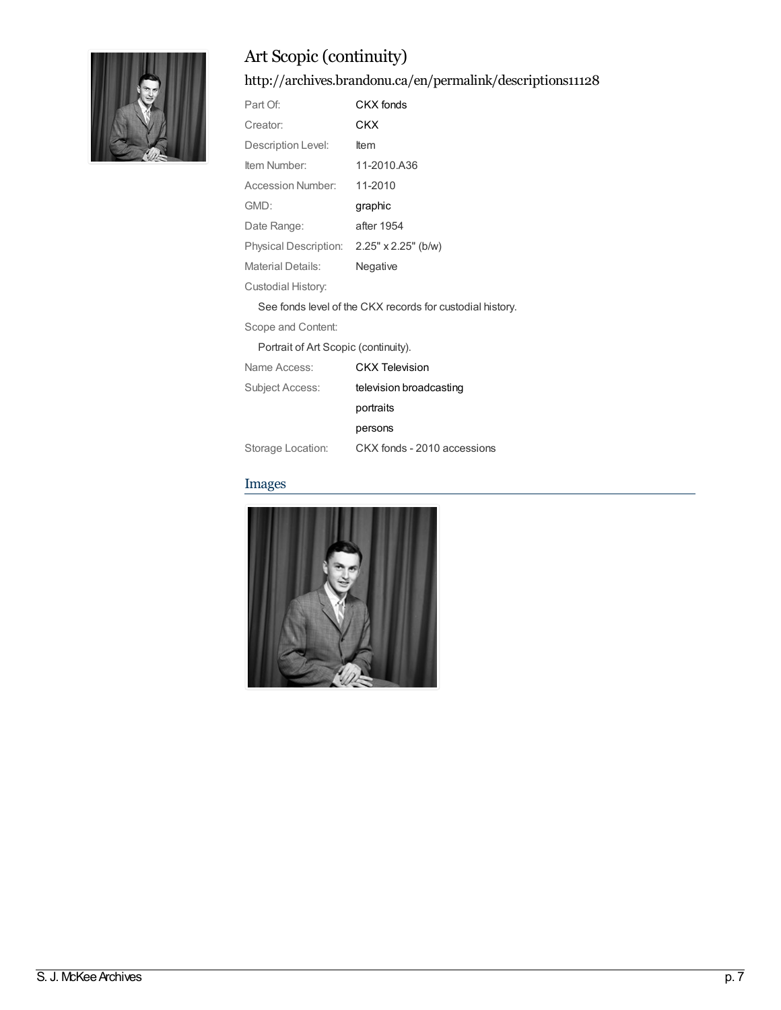

# Art Scopic(continuity)

<http://archives.brandonu.ca/en/permalink/descriptions11128>

| CKX fonds                                                 |  |  |
|-----------------------------------------------------------|--|--|
| CKX                                                       |  |  |
| ltem                                                      |  |  |
| 11-2010.A36                                               |  |  |
| 11-2010                                                   |  |  |
| graphic                                                   |  |  |
| after 1954                                                |  |  |
| Physical Description: 2.25" x 2.25" (b/w)                 |  |  |
| Negative                                                  |  |  |
|                                                           |  |  |
| See fonds level of the CKX records for custodial history. |  |  |
|                                                           |  |  |

Scope and Content:

Portrait of Art Scopic (continuity).

| Name Access:      | <b>CKX Television</b>       |
|-------------------|-----------------------------|
| Subject Access:   | television broadcasting     |
|                   | portraits                   |
|                   | persons                     |
| Storage Location: | CKX fonds - 2010 accessions |

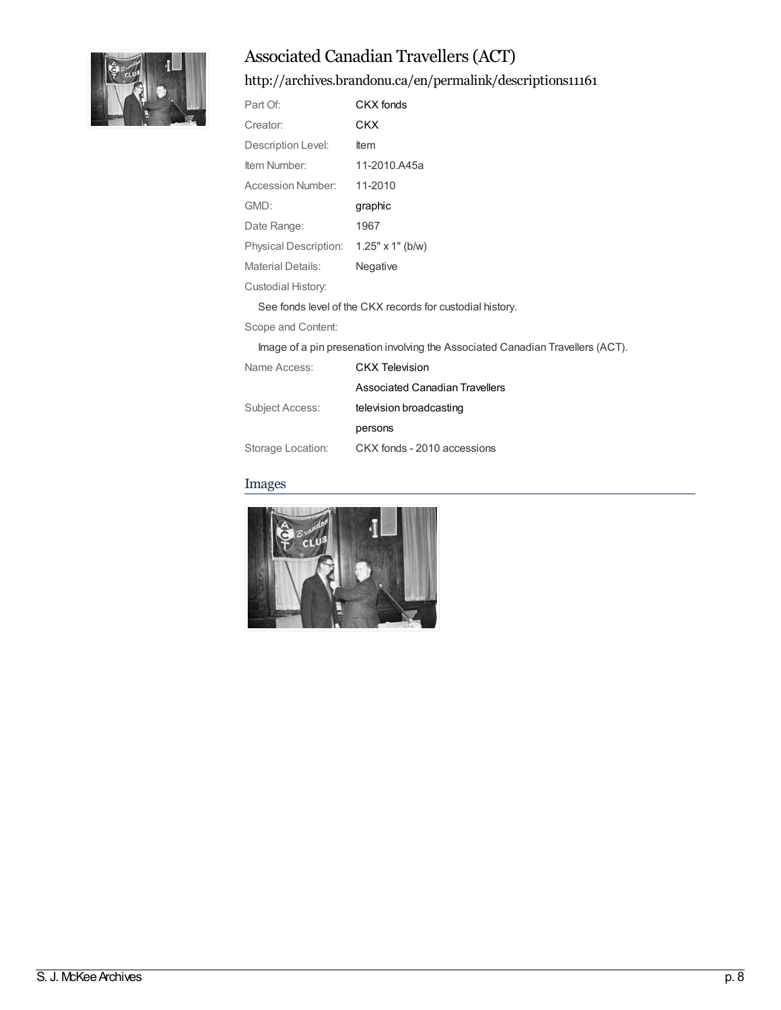

# Associated Canadian Travellers(ACT)

<http://archives.brandonu.ca/en/permalink/descriptions11161>

| Part Of:                                                  | CKX fonds               |
|-----------------------------------------------------------|-------------------------|
| Creator:                                                  | CKX                     |
| Description Level:                                        | Item                    |
| Item Number:                                              | 11-2010.A45a            |
| Accession Number:                                         | 11-2010                 |
| GMD:                                                      | graphic                 |
| Date Range:                                               | 1967                    |
| Physical Description:                                     | $1.25" \times 1"$ (b/w) |
| <b>Material Details:</b>                                  | Negative                |
| Custodial History:                                        |                         |
| See fonds level of the CKX records for custodial history. |                         |
| Scope and Content:                                        |                         |

Image of a pin presenation involving the Associated Canadian Travellers (ACT).

| Name Access:      | CKX Television                 |  |
|-------------------|--------------------------------|--|
|                   | Associated Canadian Travellers |  |
| Subject Access:   | television broadcasting        |  |
|                   | persons                        |  |
| Storage Location: | CKX fonds - 2010 accessions    |  |

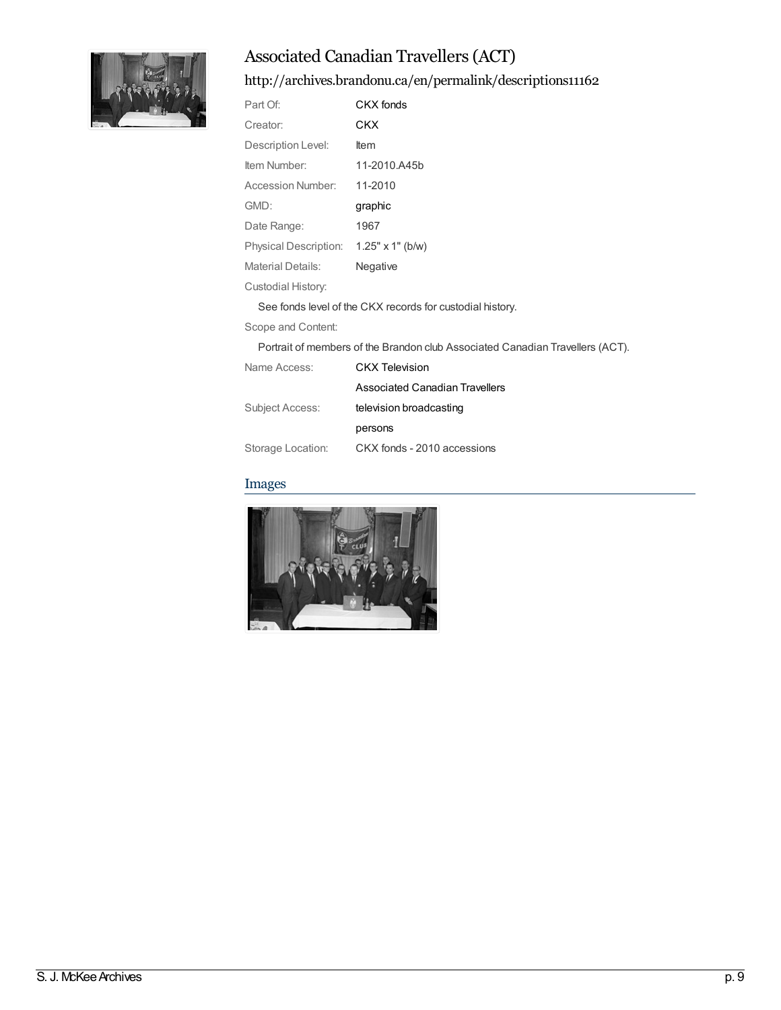

# Associated Canadian Travellers(ACT)

<http://archives.brandonu.ca/en/permalink/descriptions11162>

| Part Of:                                                  | CKX fonds               |
|-----------------------------------------------------------|-------------------------|
| Creator:                                                  | CKX                     |
| Description Level:                                        | ltem                    |
| Item Number:                                              | 11-2010.A45b            |
| Accession Number:                                         | 11-2010                 |
| GMD:                                                      | graphic                 |
| Date Range:                                               | 1967                    |
| Physical Description:                                     | $1.25" \times 1"$ (b/w) |
| Material Details:                                         | Negative                |
| Custodial History:                                        |                         |
| See fonds level of the CKX records for custodial history. |                         |
| Scope and Content:                                        |                         |
|                                                           |                         |

Portrait of members of the Brandon club Associated Canadian Travellers (ACT).

| Name Access:      | <b>CKX</b> Television          |  |
|-------------------|--------------------------------|--|
|                   | Associated Canadian Travellers |  |
| Subject Access:   | television broadcasting        |  |
|                   | persons                        |  |
| Storage Location: | CKX fonds - 2010 accessions    |  |

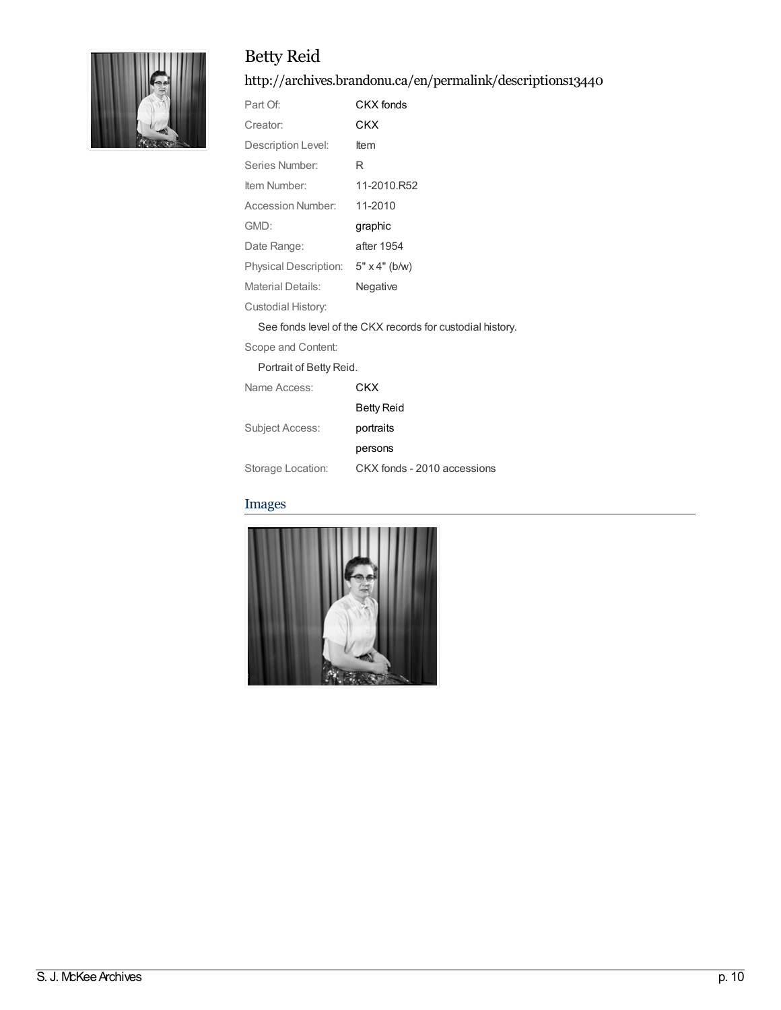# Betty Reid



#### <http://archives.brandonu.ca/en/permalink/descriptions13440>

| Part Of:              | CKX fonds            |
|-----------------------|----------------------|
| Creator:              | CKX                  |
| Description Level:    | ltem                 |
| Series Number:        | R                    |
| Item Number:          | 11-2010.R52          |
| Accession Number:     | 11-2010              |
| GMD:                  | graphic              |
| Date Range:           | after 1954           |
| Physical Description: | $5" \times 4"$ (b/w) |
| Material Details:     | Negative             |
|                       |                      |

Custodial History:

See fonds level of the CKX records for custodial history.

[Betty](http://archives.brandonu.ca/en/list?q=name%3a%22Betty+Reid%22&p=1&ps=&sort=title_sort+asc) Reid

Scope and Content:

Portrait of Betty Reid.

Name Access: [CKX](http://archives.brandonu.ca/en/list?q=name%3a%22CKX%22&p=1&ps=&sort=title_sort+asc)

Subject Access: [portraits](http://archives.brandonu.ca/en/list?q=topic%3a%22portraits%22&p=1&ps=&sort=title_sort+asc)

[persons](http://archives.brandonu.ca/en/list?q=topic%3a%22persons%22&p=1&ps=&sort=title_sort+asc) Storage Location: CKX fonds - 2010 accessions

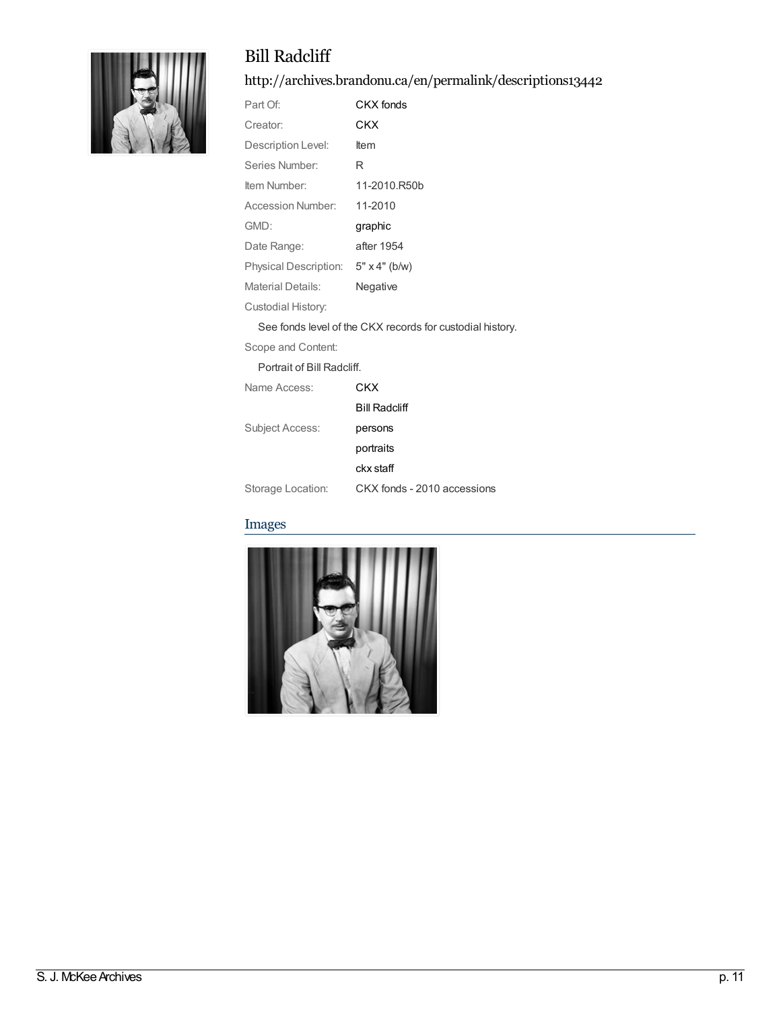# Bill Radcliff



### <http://archives.brandonu.ca/en/permalink/descriptions13442>

| Part Of:                 | CKX fonds            |
|--------------------------|----------------------|
| Creator:                 | CKX                  |
| Description Level:       | <b>Item</b>          |
| Series Number:           | R                    |
| Item Number:             | 11-2010.R50b         |
| Accession Number:        | 11-2010              |
| GMD:                     | graphic              |
| Date Range:              | after 1954           |
| Physical Description:    | $5" \times 4"$ (b/w) |
| <b>Material Details:</b> | Negative             |
|                          |                      |

Custodial History:

See fonds level of the CKX records for custodial history.

Bill [Radcliff](http://archives.brandonu.ca/en/list?q=name%3a%22Bill+Radcliff%22&p=1&ps=&sort=title_sort+asc)

Scope and Content:

Portrait of Bill Radcliff.

Name Access: [CKX](http://archives.brandonu.ca/en/list?q=name%3a%22CKX%22&p=1&ps=&sort=title_sort+asc)

Subject Access: [persons](http://archives.brandonu.ca/en/list?q=topic%3a%22persons%22&p=1&ps=&sort=title_sort+asc)

[portraits](http://archives.brandonu.ca/en/list?q=topic%3a%22portraits%22&p=1&ps=&sort=title_sort+asc) ckx [staff](http://archives.brandonu.ca/en/list?q=topic%3a%22ckx+staff%22&p=1&ps=&sort=title_sort+asc)

Storage Location: CKX fonds - 2010 accessions

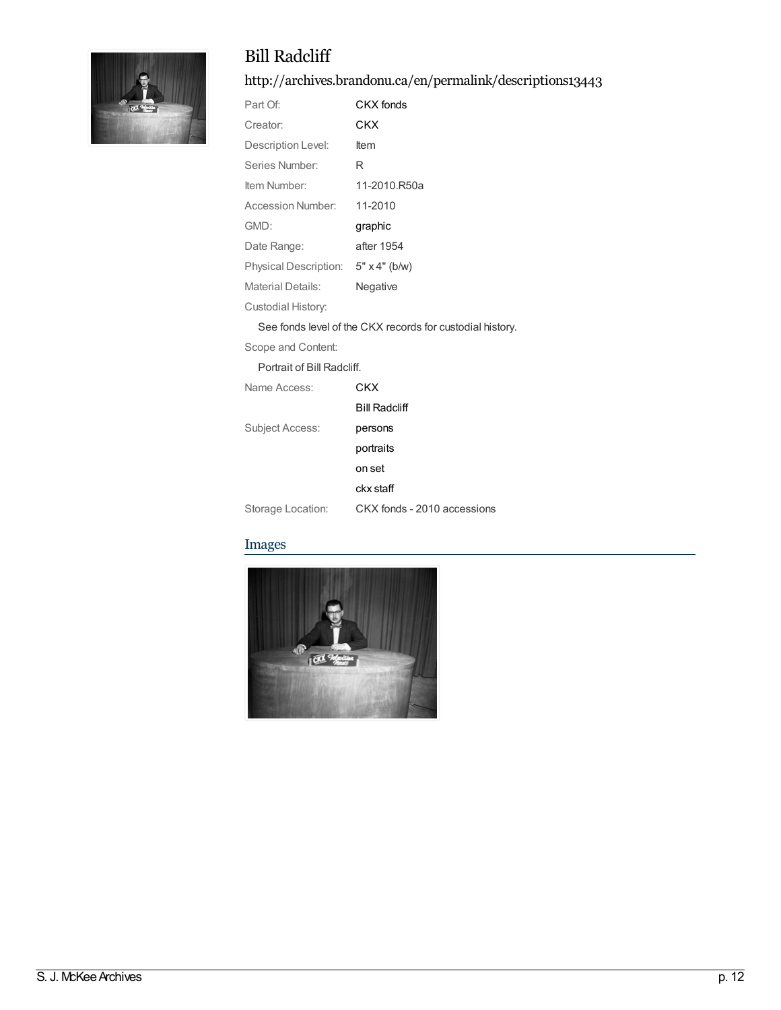

# Bill Radcliff

<http://archives.brandonu.ca/en/permalink/descriptions13443>

| Part Of:                 | CKX fonds            |
|--------------------------|----------------------|
| Creator:                 | CKX                  |
| Description Level:       | ltem                 |
| Series Number:           | R                    |
| Item Number:             | 11-2010.R50a         |
| Accession Number:        | 11-2010              |
| GMD:                     | graphic              |
| Date Range:              | after 1954           |
| Physical Description:    | $5" \times 4"$ (b/w) |
| <b>Material Details:</b> | Negative             |
| Custodial History:       |                      |

See fonds level of the CKX records for custodial history.

Scope and Content:

Portrait of Bill Radcliff.

| Name Access:      | CKX                         |
|-------------------|-----------------------------|
|                   | <b>Bill Radcliff</b>        |
| Subject Access:   | persons                     |
|                   | portraits                   |
|                   | on set                      |
|                   | ckx staff                   |
| Storage Location: | CKX fonds - 2010 accessions |

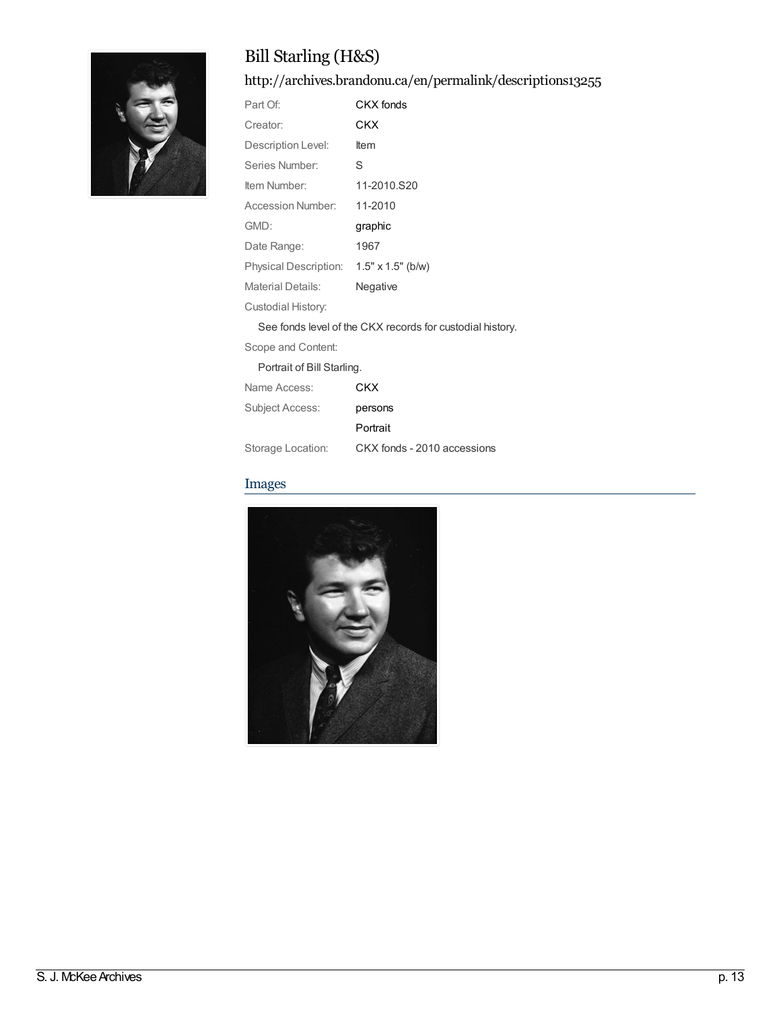

# Bill Starling (H&S)

<http://archives.brandonu.ca/en/permalink/descriptions13255>

| Part Of:              | CKX fonds                |
|-----------------------|--------------------------|
| Creator:              | CKX                      |
| Description Level:    | ltem                     |
| Series Number:        | S                        |
| Item Number:          | 11-2010.S20              |
| Accession Number:     | 11-2010                  |
| GMD:                  | graphic                  |
| Date Range:           | 1967                     |
| Physical Description: | $1.5" \times 1.5"$ (b/w) |
| Material Details:     | Negative                 |
| Custodial History:    |                          |

See fonds level of the CKX records for custodial history.

Scope and Content:

#### Portrait of Bill Starling.

| Name Access:      | CKX                         |
|-------------------|-----------------------------|
| Subject Access:   | persons                     |
|                   | Portrait                    |
| Storage Location: | CKX fonds - 2010 accessions |

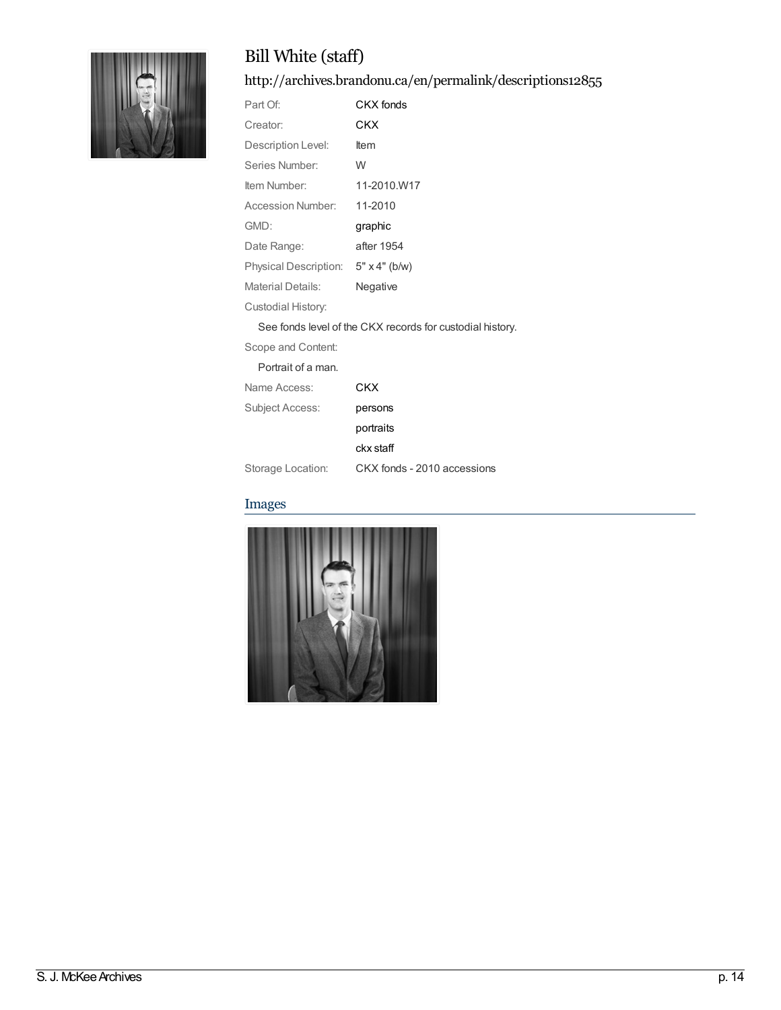

# Bill White (staff)

<http://archives.brandonu.ca/en/permalink/descriptions12855>

| Part Of:                     | CKX fonds            |
|------------------------------|----------------------|
| Creator:                     | CKX                  |
| Description Level:           | ltem                 |
| Series Number:               | W                    |
| Item Number:                 | 11-2010.W17          |
| Accession Number:            | 11-2010              |
| GMD:                         | graphic              |
| Date Range:                  | after 1954           |
| <b>Physical Description:</b> | $5" \times 4"$ (b/w) |
| Material Details:            | Negative             |
| Custodial History:           |                      |

See fonds level of the CKX records for custodial history.

Scope and Content:

| Portrait of a man. |                             |
|--------------------|-----------------------------|
| Name Access:       | CKX                         |
| Subject Access:    | persons                     |
|                    | portraits                   |
|                    | ckx staff                   |
| Storage Location:  | CKX fonds - 2010 accessions |

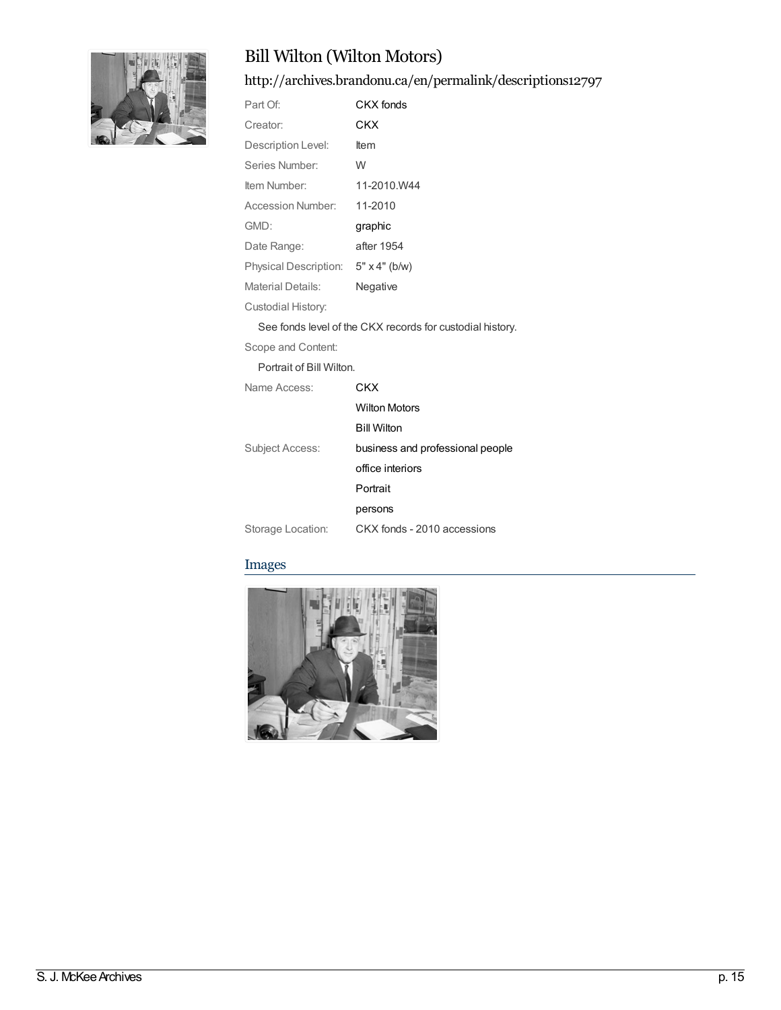

# Bill Wilton (Wilton Motors)

<http://archives.brandonu.ca/en/permalink/descriptions12797>

| Part Of:                 | CKX fonds            |
|--------------------------|----------------------|
| Creator:                 | CKX                  |
| Description Level:       | ltem                 |
| Series Number:           | W                    |
| Item Number:             | 11-2010.W44          |
| Accession Number:        | 11-2010              |
| GMD:                     | graphic              |
| Date Range:              | after 1954           |
| Physical Description:    | $5" \times 4"$ (b/w) |
| <b>Material Details:</b> | Negative             |
|                          |                      |

Custodial History:

See fonds level of the CKX records for custodial history.

[CKX](http://archives.brandonu.ca/en/list?q=name%3a%22CKX%22&p=1&ps=&sort=title_sort+asc)

Scope and Content:

Portrait of Bill Wilton.

|  | Name Access: |
|--|--------------|
|--|--------------|

|                   | <b>Wilton Motors</b>             |
|-------------------|----------------------------------|
|                   | <b>Bill Wilton</b>               |
| Subject Access:   | business and professional people |
|                   | office interiors                 |
|                   | Portrait                         |
|                   | persons                          |
| Storage Location: | CKX fonds - 2010 accessions      |

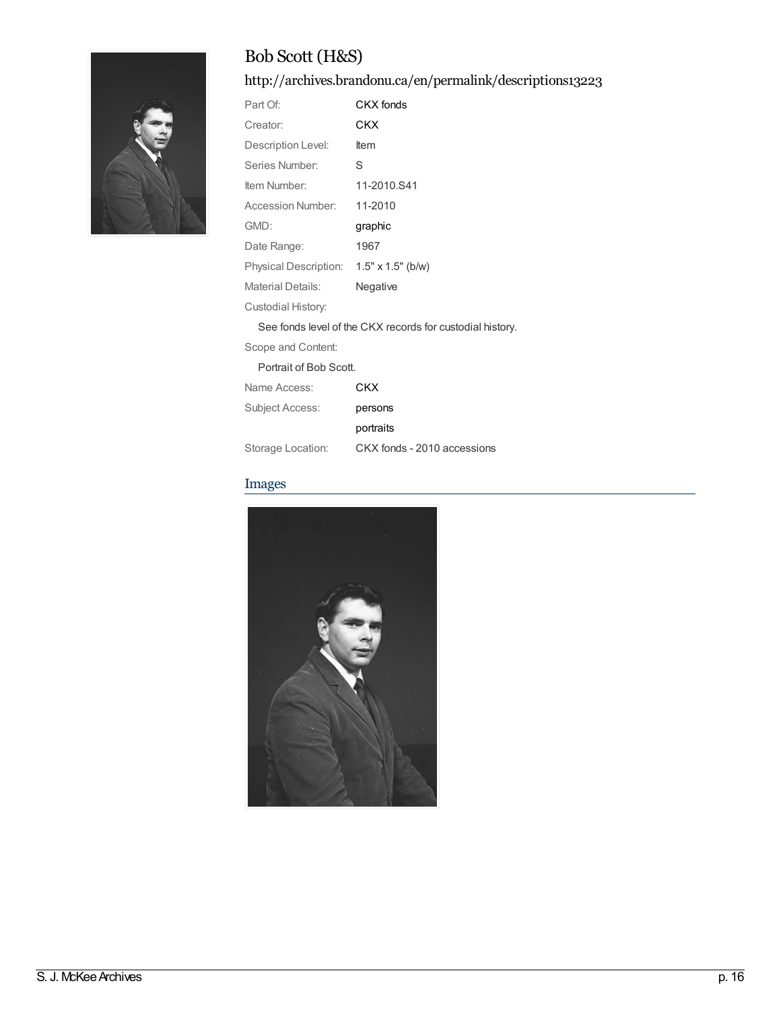

# Bob Scott (H&S)

<http://archives.brandonu.ca/en/permalink/descriptions13223>

| Part Of:                     | CKX fonds                |
|------------------------------|--------------------------|
| Creator:                     | CKX                      |
| Description Level:           | ltem                     |
| Series Number:               | S                        |
| Item Number:                 | 11-2010.S41              |
| Accession Number:            | 11-2010                  |
| GMD:                         | graphic                  |
| Date Range:                  | 1967                     |
| <b>Physical Description:</b> | $1.5" \times 1.5"$ (b/w) |
| Material Details:            | Negative                 |
| Custodial History:           |                          |

See fonds level of the CKX records for custodial history.

Scope and Content:

| Portrait of Bob Scott. |  |
|------------------------|--|
|------------------------|--|

| Name Access:      | CKX                         |
|-------------------|-----------------------------|
| Subject Access:   | persons                     |
|                   | portraits                   |
| Storage Location: | CKX fonds - 2010 accessions |

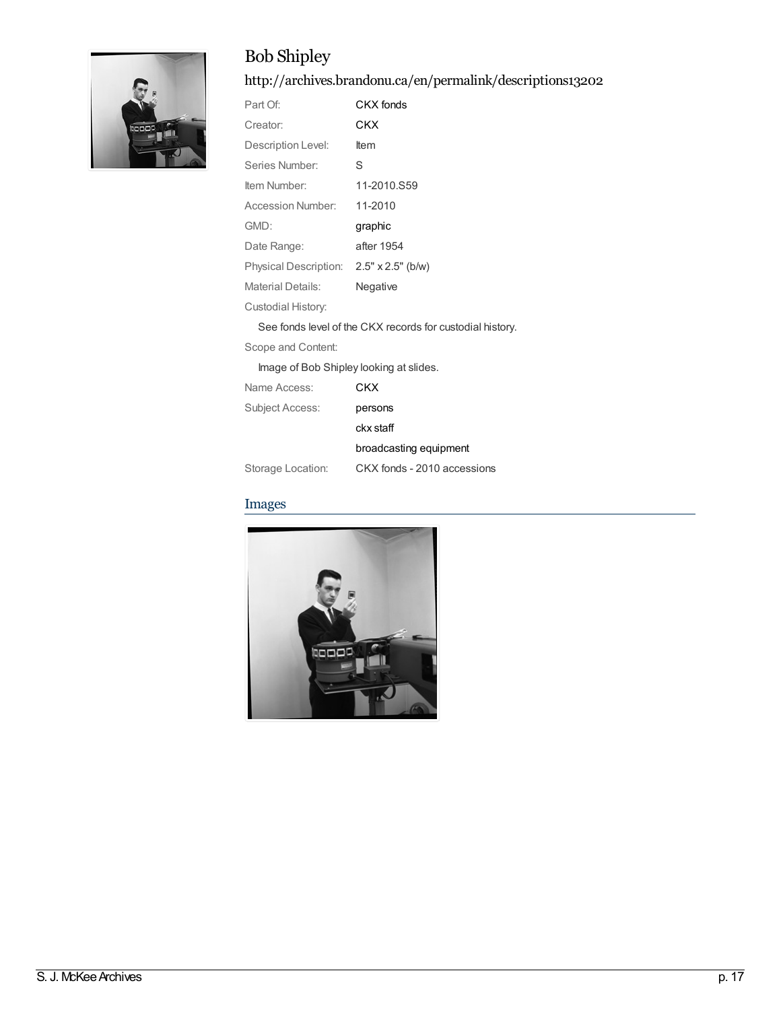# Bob Shipley

<http://archives.brandonu.ca/en/permalink/descriptions13202>

| Part Of:                                | CKX fonds   |
|-----------------------------------------|-------------|
| Creator:                                | CKX         |
| Description Level:                      | ltem        |
| Series Number:                          | S           |
| Item Number:                            | 11-2010.S59 |
| Accession Number:                       | 11-2010     |
| GMD:                                    | graphic     |
| Date Range:                             | after 1954  |
| Physical Description: 2.5" x 2.5" (b/w) |             |
| <b>Material Details:</b>                | Negative    |
| Custodial History:                      |             |
|                                         |             |

See fonds level of the CKX records for custodial history.

Scope and Content:

Image of Bob Shipley looking at slides.

| Name Access:      | CKX                         |
|-------------------|-----------------------------|
| Subject Access:   | persons                     |
|                   | ckx staff                   |
|                   | broadcasting equipment      |
| Storage Location: | CKX fonds - 2010 accessions |

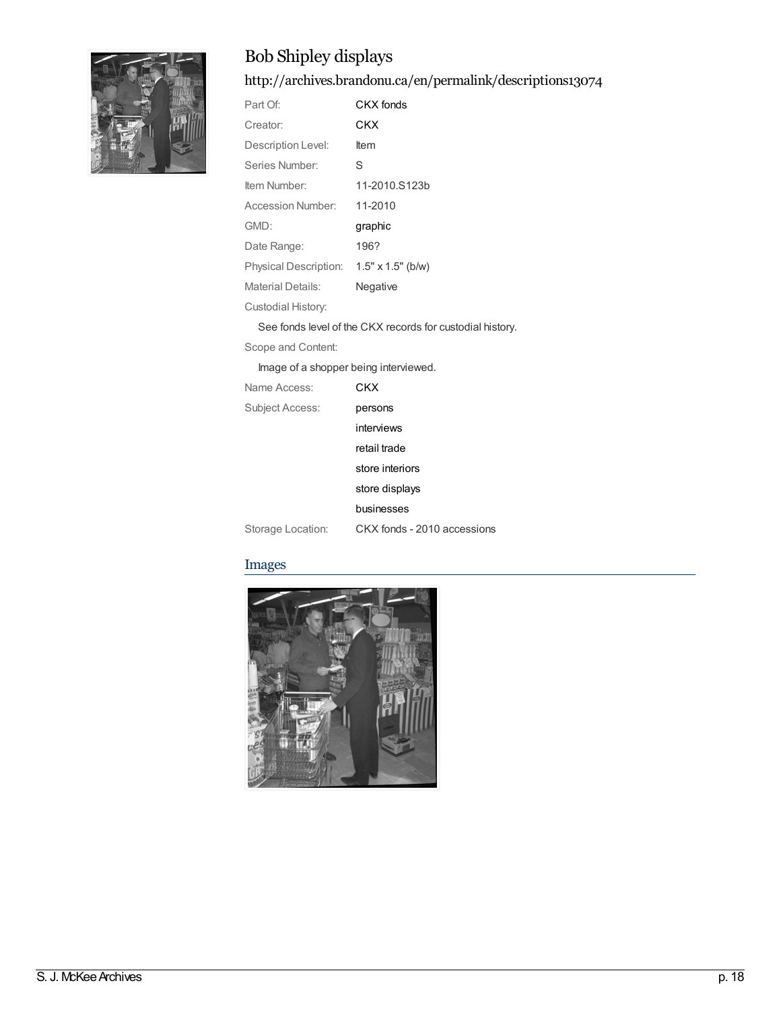

# Bob Shipley displays

<http://archives.brandonu.ca/en/permalink/descriptions13074>

| Part Of:              | CKX fonds                |
|-----------------------|--------------------------|
| Creator:              | CKX                      |
| Description Level:    | ltem                     |
| Series Number:        | S                        |
| Item Number:          | 11-2010.S123b            |
| Accession Number:     | 11-2010                  |
| GMD:                  | graphic                  |
| Date Range:           | 196?                     |
| Physical Description: | $1.5" \times 1.5"$ (b/w) |
| Material Details:     | Negative                 |
| Custodial History:    |                          |

See fonds level of the CKX records for custodial history.

Scope and Content:

Image of a shopper being interviewed.

| Name Access:      | CKX                         |
|-------------------|-----------------------------|
| Subject Access:   | persons                     |
|                   | interviews                  |
|                   | retail trade                |
|                   | store interiors             |
|                   | store displays              |
|                   | businesses                  |
| Storage Location: | CKX fonds - 2010 accessions |

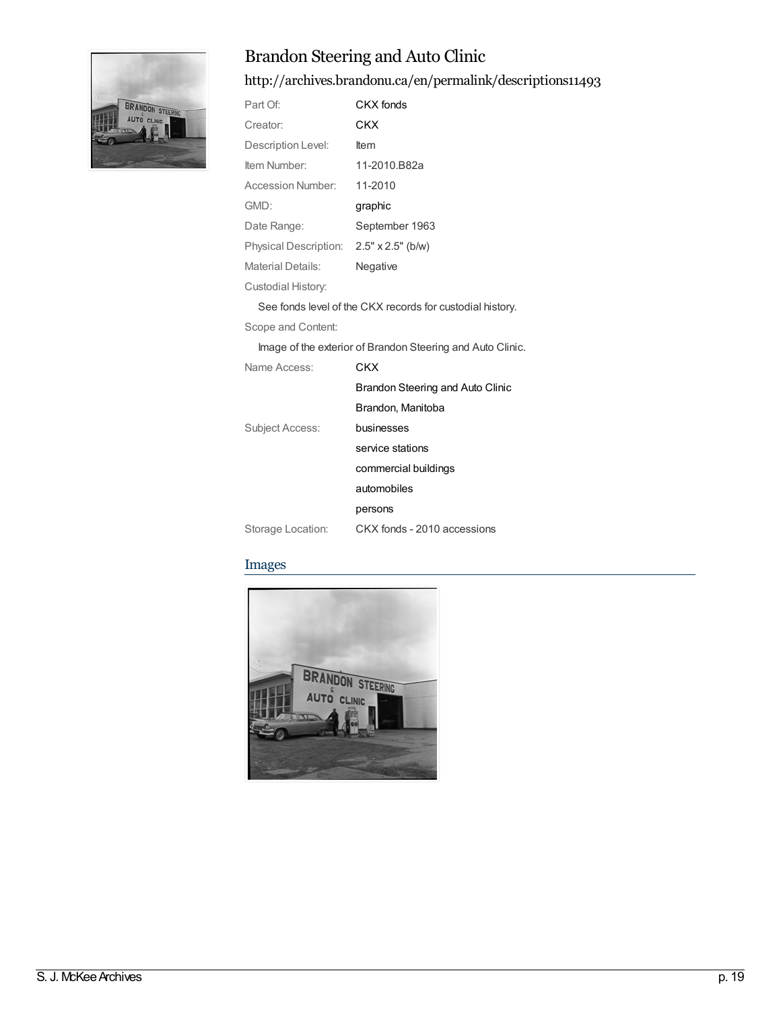

# Brandon Steering and Auto Clinic

<http://archives.brandonu.ca/en/permalink/descriptions11493>

| Part Of:                                | CKX fonds                                                  |
|-----------------------------------------|------------------------------------------------------------|
| Creator:                                | CKX                                                        |
| Description Level:                      | Item                                                       |
| Item Number:                            | 11-2010.B82a                                               |
| Accession Number:                       | 11-2010                                                    |
| GMD:                                    | graphic                                                    |
| Date Range:                             | September 1963                                             |
| Physical Description: 2.5" x 2.5" (b/w) |                                                            |
| <b>Material Details:</b>                | Negative                                                   |
| Custodial History:                      |                                                            |
|                                         | See fonds level of the CKX records for custodial history.  |
| Scope and Content:                      |                                                            |
|                                         | Image of the exterior of Brandon Steering and Auto Clinic. |
| Name Access:                            | <b>CKX</b>                                                 |
|                                         | <b>Brandon Steering and Auto Clinic</b>                    |
|                                         | Brandon, Manitoba                                          |
| <b>Subject Access:</b>                  | businesses                                                 |
|                                         | service stations                                           |
|                                         | commercial buildings                                       |
|                                         | automobiles                                                |
|                                         | persons                                                    |
| Storage Location:                       | CKX fonds - 2010 accessions                                |